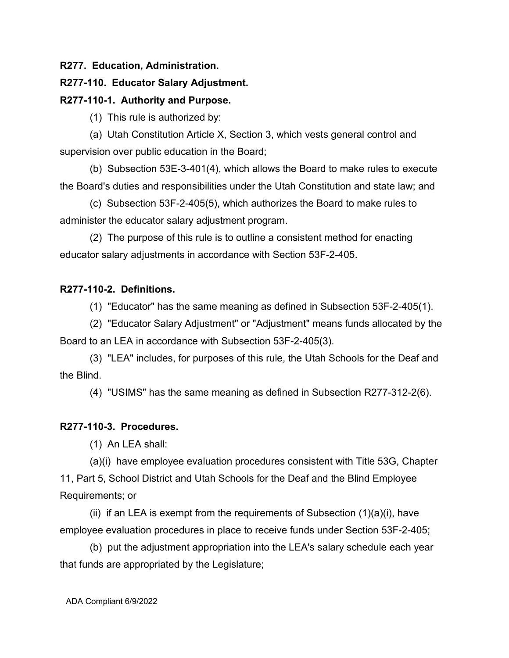## **R277. Education, Administration.**

### **R277-110. Educator Salary Adjustment.**

#### **R277-110-1. Authority and Purpose.**

(1) This rule is authorized by:

(a) Utah Constitution Article X, Section 3, which vests general control and supervision over public education in the Board;

(b) Subsection 53E-3-401(4), which allows the Board to make rules to execute the Board's duties and responsibilities under the Utah Constitution and state law; and

(c) Subsection 53F-2-405(5), which authorizes the Board to make rules to administer the educator salary adjustment program.

(2) The purpose of this rule is to outline a consistent method for enacting educator salary adjustments in accordance with Section 53F-2-405.

# **R277-110-2. Definitions.**

(1) "Educator" has the same meaning as defined in Subsection 53F-2-405(1).

(2) "Educator Salary Adjustment" or "Adjustment" means funds allocated by the Board to an LEA in accordance with Subsection 53F-2-405(3).

(3) "LEA" includes, for purposes of this rule, the Utah Schools for the Deaf and the Blind.

(4) "USIMS" has the same meaning as defined in Subsection R277-312-2(6).

## **R277-110-3. Procedures.**

(1) An LEA shall:

(a)(i) have employee evaluation procedures consistent with Title 53G, Chapter 11, Part 5, School District and Utah Schools for the Deaf and the Blind Employee Requirements; or

(ii) if an LEA is exempt from the requirements of Subsection  $(1)(a)(i)$ , have employee evaluation procedures in place to receive funds under Section 53F-2-405;

(b) put the adjustment appropriation into the LEA's salary schedule each year that funds are appropriated by the Legislature;

ADA Compliant 6/9/2022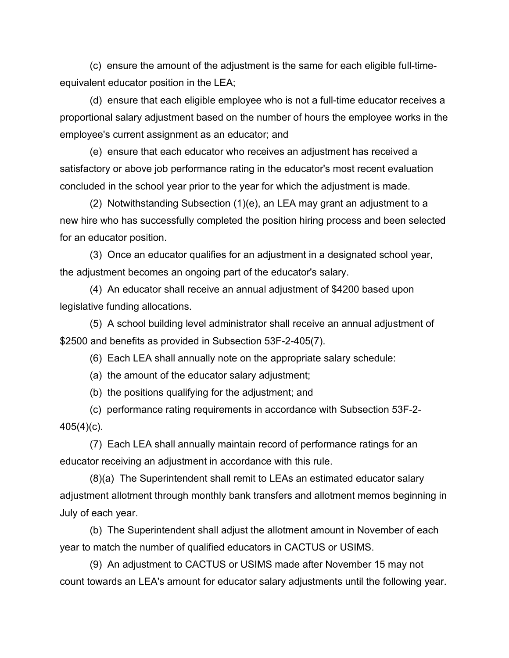(c) ensure the amount of the adjustment is the same for each eligible full-timeequivalent educator position in the LEA;

(d) ensure that each eligible employee who is not a full-time educator receives a proportional salary adjustment based on the number of hours the employee works in the employee's current assignment as an educator; and

(e) ensure that each educator who receives an adjustment has received a satisfactory or above job performance rating in the educator's most recent evaluation concluded in the school year prior to the year for which the adjustment is made.

(2) Notwithstanding Subsection (1)(e), an LEA may grant an adjustment to a new hire who has successfully completed the position hiring process and been selected for an educator position.

(3) Once an educator qualifies for an adjustment in a designated school year, the adjustment becomes an ongoing part of the educator's salary.

(4) An educator shall receive an annual adjustment of \$4200 based upon legislative funding allocations.

(5) A school building level administrator shall receive an annual adjustment of \$2500 and benefits as provided in Subsection 53F-2-405(7).

(6) Each LEA shall annually note on the appropriate salary schedule:

(a) the amount of the educator salary adjustment;

(b) the positions qualifying for the adjustment; and

(c) performance rating requirements in accordance with Subsection 53F-2- 405(4)(c).

(7) Each LEA shall annually maintain record of performance ratings for an educator receiving an adjustment in accordance with this rule.

(8)(a) The Superintendent shall remit to LEAs an estimated educator salary adjustment allotment through monthly bank transfers and allotment memos beginning in July of each year.

(b) The Superintendent shall adjust the allotment amount in November of each year to match the number of qualified educators in CACTUS or USIMS.

(9) An adjustment to CACTUS or USIMS made after November 15 may not count towards an LEA's amount for educator salary adjustments until the following year.